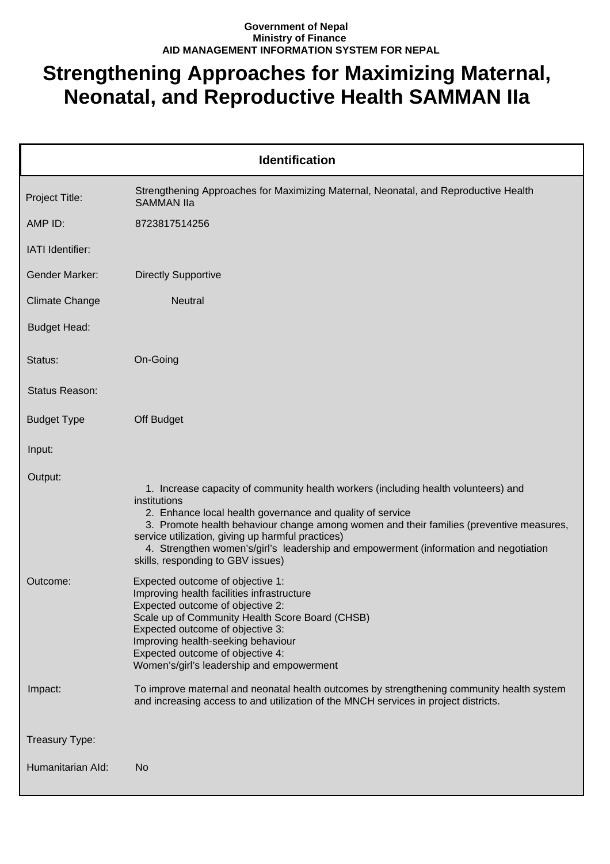## **Government of Nepal Ministry of Finance AID MANAGEMENT INFORMATION SYSTEM FOR NEPAL**

## **Strengthening Approaches for Maximizing Maternal, Neonatal, and Reproductive Health SAMMAN IIa**

| <b>Identification</b> |                                                                                                                                                                                                                                                                                                                                                                                                                                              |  |
|-----------------------|----------------------------------------------------------------------------------------------------------------------------------------------------------------------------------------------------------------------------------------------------------------------------------------------------------------------------------------------------------------------------------------------------------------------------------------------|--|
| Project Title:        | Strengthening Approaches for Maximizing Maternal, Neonatal, and Reproductive Health<br><b>SAMMAN IIa</b>                                                                                                                                                                                                                                                                                                                                     |  |
| AMP ID:               | 8723817514256                                                                                                                                                                                                                                                                                                                                                                                                                                |  |
| IATI Identifier:      |                                                                                                                                                                                                                                                                                                                                                                                                                                              |  |
| Gender Marker:        | <b>Directly Supportive</b>                                                                                                                                                                                                                                                                                                                                                                                                                   |  |
| <b>Climate Change</b> | Neutral                                                                                                                                                                                                                                                                                                                                                                                                                                      |  |
| <b>Budget Head:</b>   |                                                                                                                                                                                                                                                                                                                                                                                                                                              |  |
| Status:               | On-Going                                                                                                                                                                                                                                                                                                                                                                                                                                     |  |
| Status Reason:        |                                                                                                                                                                                                                                                                                                                                                                                                                                              |  |
| <b>Budget Type</b>    | Off Budget                                                                                                                                                                                                                                                                                                                                                                                                                                   |  |
| Input:                |                                                                                                                                                                                                                                                                                                                                                                                                                                              |  |
| Output:               | 1. Increase capacity of community health workers (including health volunteers) and<br>institutions<br>2. Enhance local health governance and quality of service<br>3. Promote health behaviour change among women and their families (preventive measures,<br>service utilization, giving up harmful practices)<br>4. Strengthen women's/girl's leadership and empowerment (information and negotiation<br>skills, responding to GBV issues) |  |
| Outcome:              | Expected outcome of objective 1:<br>Improving health facilities infrastructure<br>Expected outcome of objective 2:<br>Scale up of Community Health Score Board (CHSB)<br>Expected outcome of objective 3:<br>Improving health-seeking behaviour<br>Expected outcome of objective 4:<br>Women's/girl's leadership and empowerment                                                                                                             |  |
| Impact:               | To improve maternal and neonatal health outcomes by strengthening community health system<br>and increasing access to and utilization of the MNCH services in project districts.                                                                                                                                                                                                                                                             |  |
| Treasury Type:        |                                                                                                                                                                                                                                                                                                                                                                                                                                              |  |
| Humanitarian Ald:     | No                                                                                                                                                                                                                                                                                                                                                                                                                                           |  |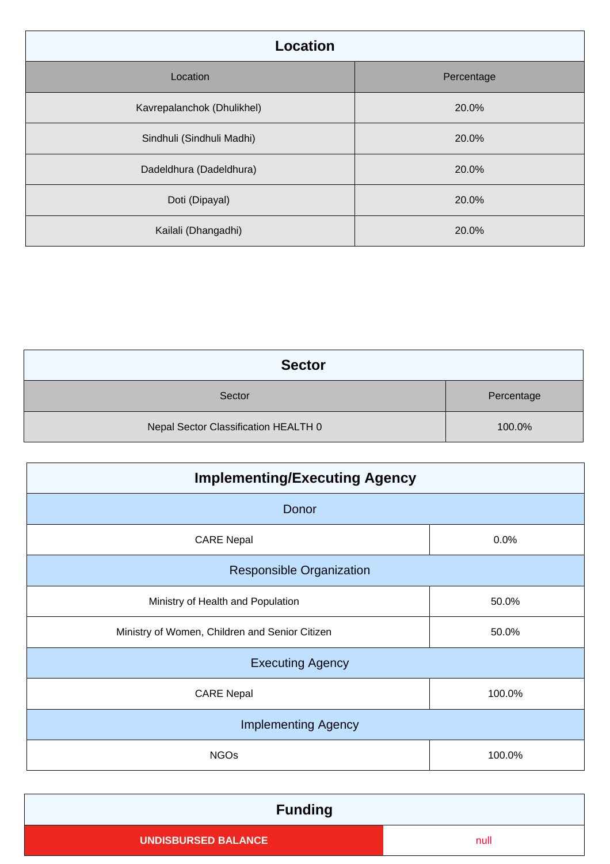| <b>Location</b>            |            |
|----------------------------|------------|
| Location                   | Percentage |
| Kavrepalanchok (Dhulikhel) | 20.0%      |
| Sindhuli (Sindhuli Madhi)  | 20.0%      |
| Dadeldhura (Dadeldhura)    | 20.0%      |
| Doti (Dipayal)             | 20.0%      |
| Kailali (Dhangadhi)        | 20.0%      |

| <b>Sector</b>                        |            |
|--------------------------------------|------------|
| Sector                               | Percentage |
| Nepal Sector Classification HEALTH 0 | 100.0%     |

| <b>Implementing/Executing Agency</b>           |        |  |
|------------------------------------------------|--------|--|
| Donor                                          |        |  |
| <b>CARE Nepal</b>                              | 0.0%   |  |
| <b>Responsible Organization</b>                |        |  |
| Ministry of Health and Population              | 50.0%  |  |
| Ministry of Women, Children and Senior Citizen | 50.0%  |  |
| <b>Executing Agency</b>                        |        |  |
| <b>CARE Nepal</b>                              | 100.0% |  |
| <b>Implementing Agency</b>                     |        |  |
| <b>NGOs</b>                                    | 100.0% |  |

| <b>Funding</b>             |      |
|----------------------------|------|
| <b>UNDISBURSED BALANCE</b> | null |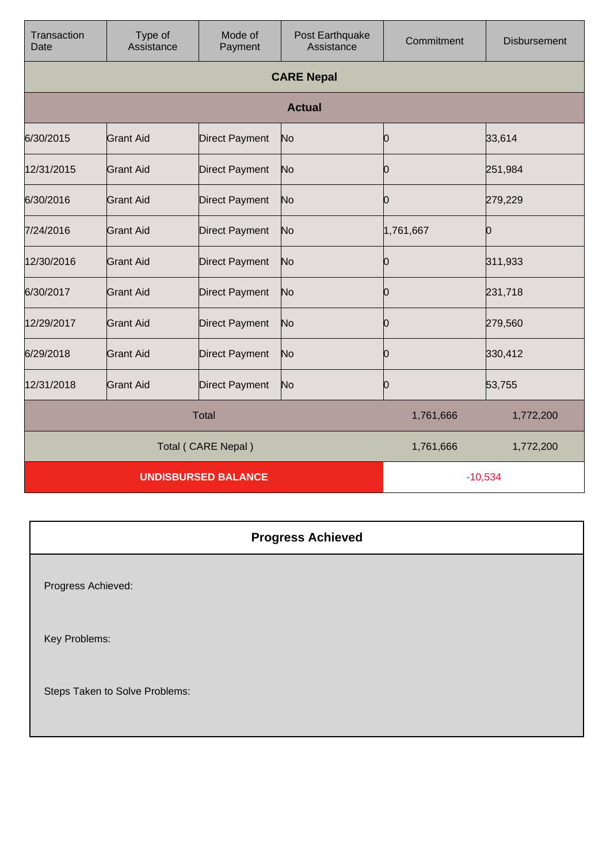| Transaction<br>Date        | Type of<br>Assistance | Mode of<br>Payment    | Post Earthquake<br>Assistance | Commitment | <b>Disbursement</b> |
|----------------------------|-----------------------|-----------------------|-------------------------------|------------|---------------------|
|                            | <b>CARE Nepal</b>     |                       |                               |            |                     |
|                            |                       |                       | <b>Actual</b>                 |            |                     |
| 6/30/2015                  | <b>Grant Aid</b>      | <b>Direct Payment</b> | No                            | 0          | 33,614              |
| 12/31/2015                 | Grant Aid             | <b>Direct Payment</b> | No                            | 0          | 251,984             |
| 6/30/2016                  | <b>Grant Aid</b>      | <b>Direct Payment</b> | No                            | 0          | 279,229             |
| 7/24/2016                  | <b>Grant Aid</b>      | <b>Direct Payment</b> | No                            | 1,761,667  | Ю                   |
| 12/30/2016                 | <b>Grant Aid</b>      | <b>Direct Payment</b> | No                            | 0          | 311,933             |
| 6/30/2017                  | <b>Grant Aid</b>      | <b>Direct Payment</b> | No                            | 0          | 231,718             |
| 12/29/2017                 | <b>Grant Aid</b>      | <b>Direct Payment</b> | No                            | 0          | 279,560             |
| 6/29/2018                  | <b>Grant Aid</b>      | <b>Direct Payment</b> | No                            | 0          | 330,412             |
| 12/31/2018                 | <b>Grant Aid</b>      | <b>Direct Payment</b> | No                            | 0          | 53,755              |
| <b>Total</b>               |                       |                       | 1,761,666                     | 1,772,200  |                     |
| Total (CARE Nepal)         |                       |                       | 1,761,666                     | 1,772,200  |                     |
| <b>UNDISBURSED BALANCE</b> |                       |                       |                               | $-10,534$  |                     |

**Progress Achieved** Progress Achieved: Key Problems: Steps Taken to Solve Problems: